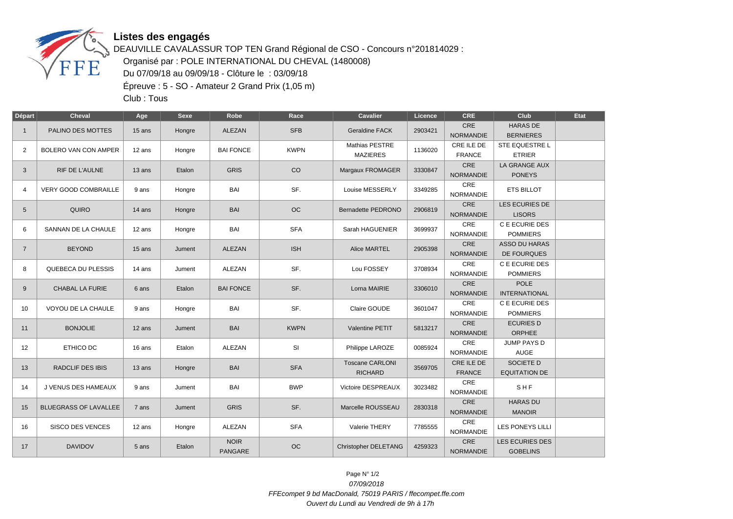

## **Listes des engagés**

DEAUVILLE CAVALASSUR TOP TEN Grand Régional de CSO - Concours n°201814029 : Organisé par : POLE INTERNATIONAL DU CHEVAL (1480008) Du 07/09/18 au 09/09/18 - Clôture le : 03/09/18 Épreuve : 5 - SO - Amateur 2 Grand Prix (1,05 m)

Club : Tous

| Départ         | <b>Cheval</b>                | Age    | <b>Sexe</b> | Robe                   | Race        | <b>Cavalier</b>                          | Licence | <b>CRE</b>                     | <b>Club</b>                                | Etat |
|----------------|------------------------------|--------|-------------|------------------------|-------------|------------------------------------------|---------|--------------------------------|--------------------------------------------|------|
| $\mathbf{1}$   | PALINO DES MOTTES            | 15 ans | Hongre      | ALEZAN                 | <b>SFB</b>  | <b>Geraldine FACK</b>                    | 2903421 | CRE<br><b>NORMANDIE</b>        | <b>HARAS DE</b><br><b>BERNIERES</b>        |      |
| 2              | BOLERO VAN CON AMPER         | 12 ans | Hongre      | <b>BAI FONCE</b>       | <b>KWPN</b> | Mathias PESTRE<br><b>MAZIERES</b>        | 1136020 | CRE ILE DE<br><b>FRANCE</b>    | STE EQUESTRE L<br><b>ETRIER</b>            |      |
| 3              | RIF DE L'AULNE               | 13 ans | Etalon      | <b>GRIS</b>            | CO          | Margaux FROMAGER                         | 3330847 | CRE<br><b>NORMANDIE</b>        | LA GRANGE AUX<br><b>PONEYS</b>             |      |
| 4              | VERY GOOD COMBRAILLE         | 9 ans  | Hongre      | BAI                    | SF.         | Louise MESSERLY                          | 3349285 | CRE<br><b>NORMANDIE</b>        | <b>ETS BILLOT</b>                          |      |
| 5              | <b>QUIRO</b>                 | 14 ans | Hongre      | <b>BAI</b>             | OC          | Bernadette PEDRONO                       | 2906819 | CRE<br><b>NORMANDIE</b>        | LES ECURIES DE<br><b>LISORS</b>            |      |
| 6              | SANNAN DE LA CHAULE          | 12 ans | Hongre      | BAI                    | <b>SFA</b>  | Sarah HAGUENIER                          | 3699937 | CRE<br><b>NORMANDIE</b>        | C E ECURIE DES<br><b>POMMIERS</b>          |      |
| $\overline{7}$ | <b>BEYOND</b>                | 15 ans | Jument      | ALEZAN                 | <b>ISH</b>  | Alice MARTEL                             | 2905398 | CRE<br><b>NORMANDIE</b>        | <b>ASSO DU HARAS</b><br><b>DE FOURQUES</b> |      |
| 8              | QUEBECA DU PLESSIS           | 14 ans | Jument      | ALEZAN                 | SF.         | Lou FOSSEY                               | 3708934 | CRE<br><b>NORMANDIE</b>        | C E ECURIE DES<br><b>POMMIERS</b>          |      |
| 9              | <b>CHABAL LA FURIE</b>       | 6 ans  | Etalon      | <b>BAI FONCE</b>       | SF.         | Lorna MAIRIE                             | 3306010 | CRE<br><b>NORMANDIE</b>        | <b>POLE</b><br><b>INTERNATIONAL</b>        |      |
| 10             | VOYOU DE LA CHAULE           | 9 ans  | Hongre      | BAI                    | SF.         | Claire GOUDE                             | 3601047 | CRE<br><b>NORMANDIE</b>        | C E ECURIE DES<br><b>POMMIERS</b>          |      |
| 11             | <b>BONJOLIE</b>              | 12 ans | Jument      | <b>BAI</b>             | <b>KWPN</b> | Valentine PETIT                          | 5813217 | CRE<br><b>NORMANDIE</b>        | <b>ECURIES D</b><br>ORPHEE                 |      |
| 12             | ETHICO DC                    | 16 ans | Etalon      | ALEZAN                 | SI          | Philippe LAROZE                          | 0085924 | CRE<br><b>NORMANDIE</b>        | JUMP PAYS D<br>AUGE                        |      |
| 13             | <b>RADCLIF DES IBIS</b>      | 13 ans | Hongre      | <b>BAI</b>             | <b>SFA</b>  | <b>Toscane CARLONI</b><br><b>RICHARD</b> | 3569705 | CRE ILE DE<br><b>FRANCE</b>    | SOCIETE D<br><b>EQUITATION DE</b>          |      |
| 14             | J VENUS DES HAMEAUX          | 9 ans  | Jument      | BAI                    | <b>BWP</b>  | Victoire DESPREAUX                       | 3023482 | CRE<br><b>NORMANDIE</b>        | SHF                                        |      |
| 15             | <b>BLUEGRASS OF LAVALLEE</b> | 7 ans  | Jument      | <b>GRIS</b>            | SF.         | Marcelle ROUSSEAU                        | 2830318 | CRE<br><b>NORMANDIE</b>        | <b>HARAS DU</b><br><b>MANOIR</b>           |      |
| 16             | <b>SISCO DES VENCES</b>      | 12 ans | Hongre      | ALEZAN                 | <b>SFA</b>  | Valerie THERY                            | 7785555 | <b>CRE</b><br><b>NORMANDIE</b> | LES PONEYS LILLI                           |      |
| 17             | <b>DAVIDOV</b>               | 5 ans  | Etalon      | <b>NOIR</b><br>PANGARE | OC          | <b>Christopher DELETANG</b>              | 4259323 | CRE<br><b>NORMANDIE</b>        | <b>LES ECURIES DES</b><br><b>GOBELINS</b>  |      |